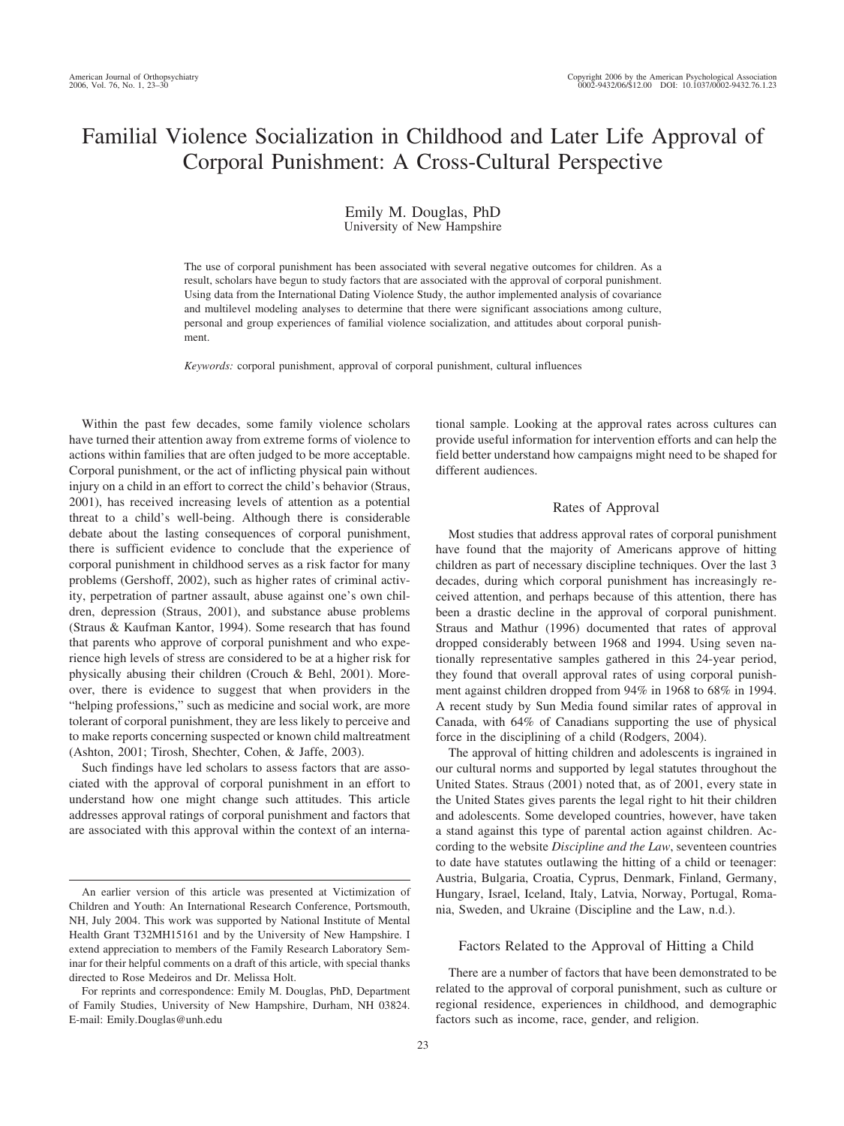# Familial Violence Socialization in Childhood and Later Life Approval of Corporal Punishment: A Cross-Cultural Perspective

### Emily M. Douglas, PhD University of New Hampshire

The use of corporal punishment has been associated with several negative outcomes for children. As a result, scholars have begun to study factors that are associated with the approval of corporal punishment. Using data from the International Dating Violence Study, the author implemented analysis of covariance and multilevel modeling analyses to determine that there were significant associations among culture, personal and group experiences of familial violence socialization, and attitudes about corporal punishment.

*Keywords:* corporal punishment, approval of corporal punishment, cultural influences

Within the past few decades, some family violence scholars have turned their attention away from extreme forms of violence to actions within families that are often judged to be more acceptable. Corporal punishment, or the act of inflicting physical pain without injury on a child in an effort to correct the child's behavior (Straus, 2001), has received increasing levels of attention as a potential threat to a child's well-being. Although there is considerable debate about the lasting consequences of corporal punishment, there is sufficient evidence to conclude that the experience of corporal punishment in childhood serves as a risk factor for many problems (Gershoff, 2002), such as higher rates of criminal activity, perpetration of partner assault, abuse against one's own children, depression (Straus, 2001), and substance abuse problems (Straus & Kaufman Kantor, 1994). Some research that has found that parents who approve of corporal punishment and who experience high levels of stress are considered to be at a higher risk for physically abusing their children (Crouch & Behl, 2001). Moreover, there is evidence to suggest that when providers in the "helping professions," such as medicine and social work, are more tolerant of corporal punishment, they are less likely to perceive and to make reports concerning suspected or known child maltreatment (Ashton, 2001; Tirosh, Shechter, Cohen, & Jaffe, 2003).

Such findings have led scholars to assess factors that are associated with the approval of corporal punishment in an effort to understand how one might change such attitudes. This article addresses approval ratings of corporal punishment and factors that are associated with this approval within the context of an interna-

For reprints and correspondence: Emily M. Douglas, PhD, Department of Family Studies, University of New Hampshire, Durham, NH 03824. E-mail: Emily.Douglas@unh.edu

tional sample. Looking at the approval rates across cultures can provide useful information for intervention efforts and can help the field better understand how campaigns might need to be shaped for different audiences.

#### Rates of Approval

Most studies that address approval rates of corporal punishment have found that the majority of Americans approve of hitting children as part of necessary discipline techniques. Over the last 3 decades, during which corporal punishment has increasingly received attention, and perhaps because of this attention, there has been a drastic decline in the approval of corporal punishment. Straus and Mathur (1996) documented that rates of approval dropped considerably between 1968 and 1994. Using seven nationally representative samples gathered in this 24-year period, they found that overall approval rates of using corporal punishment against children dropped from 94% in 1968 to 68% in 1994. A recent study by Sun Media found similar rates of approval in Canada, with 64% of Canadians supporting the use of physical force in the disciplining of a child (Rodgers, 2004).

The approval of hitting children and adolescents is ingrained in our cultural norms and supported by legal statutes throughout the United States. Straus (2001) noted that, as of 2001, every state in the United States gives parents the legal right to hit their children and adolescents. Some developed countries, however, have taken a stand against this type of parental action against children. According to the website *Discipline and the Law*, seventeen countries to date have statutes outlawing the hitting of a child or teenager: Austria, Bulgaria, Croatia, Cyprus, Denmark, Finland, Germany, Hungary, Israel, Iceland, Italy, Latvia, Norway, Portugal, Romania, Sweden, and Ukraine (Discipline and the Law, n.d.).

#### Factors Related to the Approval of Hitting a Child

There are a number of factors that have been demonstrated to be related to the approval of corporal punishment, such as culture or regional residence, experiences in childhood, and demographic factors such as income, race, gender, and religion.

An earlier version of this article was presented at Victimization of Children and Youth: An International Research Conference, Portsmouth, NH, July 2004. This work was supported by National Institute of Mental Health Grant T32MH15161 and by the University of New Hampshire. I extend appreciation to members of the Family Research Laboratory Seminar for their helpful comments on a draft of this article, with special thanks directed to Rose Medeiros and Dr. Melissa Holt.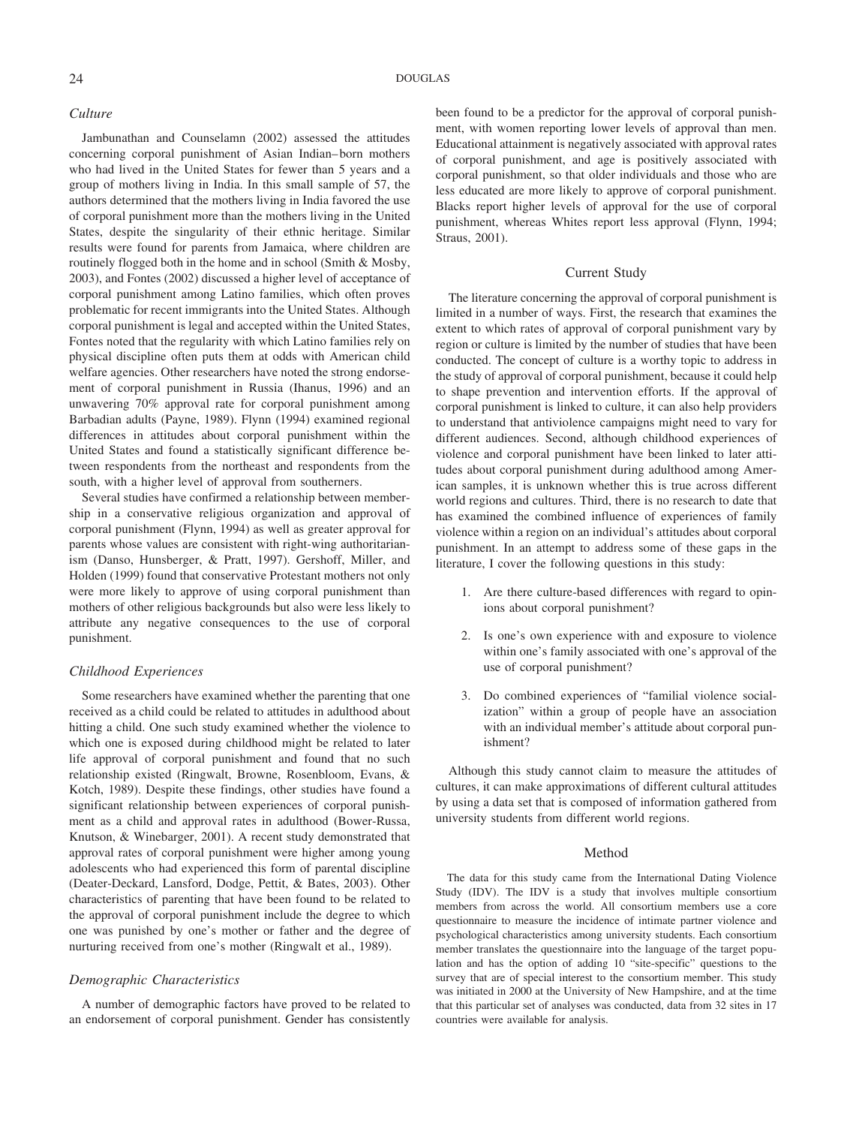Jambunathan and Counselamn (2002) assessed the attitudes concerning corporal punishment of Asian Indian– born mothers who had lived in the United States for fewer than 5 years and a group of mothers living in India. In this small sample of 57, the authors determined that the mothers living in India favored the use of corporal punishment more than the mothers living in the United States, despite the singularity of their ethnic heritage. Similar results were found for parents from Jamaica, where children are routinely flogged both in the home and in school (Smith & Mosby, 2003), and Fontes (2002) discussed a higher level of acceptance of corporal punishment among Latino families, which often proves problematic for recent immigrants into the United States. Although corporal punishment is legal and accepted within the United States, Fontes noted that the regularity with which Latino families rely on physical discipline often puts them at odds with American child welfare agencies. Other researchers have noted the strong endorsement of corporal punishment in Russia (Ihanus, 1996) and an unwavering 70% approval rate for corporal punishment among Barbadian adults (Payne, 1989). Flynn (1994) examined regional differences in attitudes about corporal punishment within the United States and found a statistically significant difference between respondents from the northeast and respondents from the south, with a higher level of approval from southerners.

Several studies have confirmed a relationship between membership in a conservative religious organization and approval of corporal punishment (Flynn, 1994) as well as greater approval for parents whose values are consistent with right-wing authoritarianism (Danso, Hunsberger, & Pratt, 1997). Gershoff, Miller, and Holden (1999) found that conservative Protestant mothers not only were more likely to approve of using corporal punishment than mothers of other religious backgrounds but also were less likely to attribute any negative consequences to the use of corporal punishment.

## *Childhood Experiences*

Some researchers have examined whether the parenting that one received as a child could be related to attitudes in adulthood about hitting a child. One such study examined whether the violence to which one is exposed during childhood might be related to later life approval of corporal punishment and found that no such relationship existed (Ringwalt, Browne, Rosenbloom, Evans, & Kotch, 1989). Despite these findings, other studies have found a significant relationship between experiences of corporal punishment as a child and approval rates in adulthood (Bower-Russa, Knutson, & Winebarger, 2001). A recent study demonstrated that approval rates of corporal punishment were higher among young adolescents who had experienced this form of parental discipline (Deater-Deckard, Lansford, Dodge, Pettit, & Bates, 2003). Other characteristics of parenting that have been found to be related to the approval of corporal punishment include the degree to which one was punished by one's mother or father and the degree of nurturing received from one's mother (Ringwalt et al., 1989).

### *Demographic Characteristics*

A number of demographic factors have proved to be related to an endorsement of corporal punishment. Gender has consistently been found to be a predictor for the approval of corporal punishment, with women reporting lower levels of approval than men. Educational attainment is negatively associated with approval rates of corporal punishment, and age is positively associated with corporal punishment, so that older individuals and those who are less educated are more likely to approve of corporal punishment. Blacks report higher levels of approval for the use of corporal punishment, whereas Whites report less approval (Flynn, 1994; Straus, 2001).

#### Current Study

The literature concerning the approval of corporal punishment is limited in a number of ways. First, the research that examines the extent to which rates of approval of corporal punishment vary by region or culture is limited by the number of studies that have been conducted. The concept of culture is a worthy topic to address in the study of approval of corporal punishment, because it could help to shape prevention and intervention efforts. If the approval of corporal punishment is linked to culture, it can also help providers to understand that antiviolence campaigns might need to vary for different audiences. Second, although childhood experiences of violence and corporal punishment have been linked to later attitudes about corporal punishment during adulthood among American samples, it is unknown whether this is true across different world regions and cultures. Third, there is no research to date that has examined the combined influence of experiences of family violence within a region on an individual's attitudes about corporal punishment. In an attempt to address some of these gaps in the literature, I cover the following questions in this study:

- 1. Are there culture-based differences with regard to opinions about corporal punishment?
- 2. Is one's own experience with and exposure to violence within one's family associated with one's approval of the use of corporal punishment?
- 3. Do combined experiences of "familial violence socialization" within a group of people have an association with an individual member's attitude about corporal punishment?

Although this study cannot claim to measure the attitudes of cultures, it can make approximations of different cultural attitudes by using a data set that is composed of information gathered from university students from different world regions.

#### Method

The data for this study came from the International Dating Violence Study (IDV). The IDV is a study that involves multiple consortium members from across the world. All consortium members use a core questionnaire to measure the incidence of intimate partner violence and psychological characteristics among university students. Each consortium member translates the questionnaire into the language of the target population and has the option of adding 10 "site-specific" questions to the survey that are of special interest to the consortium member. This study was initiated in 2000 at the University of New Hampshire, and at the time that this particular set of analyses was conducted, data from 32 sites in 17 countries were available for analysis.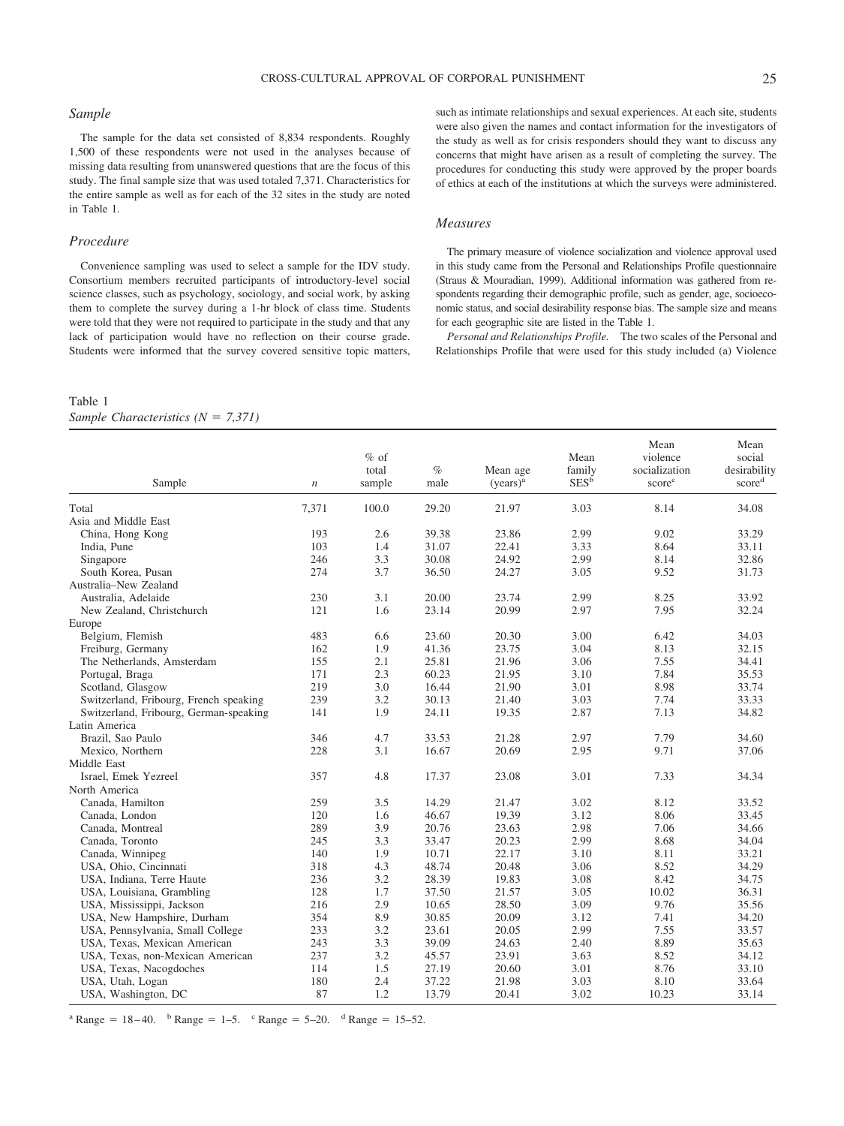#### *Sample*

The sample for the data set consisted of 8,834 respondents. Roughly 1,500 of these respondents were not used in the analyses because of missing data resulting from unanswered questions that are the focus of this study. The final sample size that was used totaled 7,371. Characteristics for the entire sample as well as for each of the 32 sites in the study are noted in Table 1.

#### *Procedure*

Convenience sampling was used to select a sample for the IDV study. Consortium members recruited participants of introductory-level social science classes, such as psychology, sociology, and social work, by asking them to complete the survey during a 1-hr block of class time. Students were told that they were not required to participate in the study and that any lack of participation would have no reflection on their course grade. Students were informed that the survey covered sensitive topic matters,

#### such as intimate relationships and sexual experiences. At each site, students were also given the names and contact information for the investigators of the study as well as for crisis responders should they want to discuss any concerns that might have arisen as a result of completing the survey. The procedures for conducting this study were approved by the proper boards of ethics at each of the institutions at which the surveys were administered.

#### *Measures*

The primary measure of violence socialization and violence approval used in this study came from the Personal and Relationships Profile questionnaire (Straus & Mouradian, 1999). Additional information was gathered from respondents regarding their demographic profile, such as gender, age, socioeconomic status, and social desirability response bias. The sample size and means for each geographic site are listed in the Table 1.

*Personal and Relationships Profile.* The two scales of the Personal and Relationships Profile that were used for this study included (a) Violence

#### Table 1

*Sample Characteristics (N = 7,371)* 

| Sample                                 | $\boldsymbol{n}$ | $%$ of<br>total<br>sample | $\%$<br>male | Mean age<br>(years) <sup>a</sup> | Mean<br>family<br>$SES^{\tilde{b}}$ | Mean<br>violence<br>socialization<br>score <sup>c</sup> | Mean<br>social<br>desirability<br>scored |
|----------------------------------------|------------------|---------------------------|--------------|----------------------------------|-------------------------------------|---------------------------------------------------------|------------------------------------------|
| Total                                  | 7,371            | 100.0                     | 29.20        | 21.97                            | 3.03                                | 8.14                                                    | 34.08                                    |
| Asia and Middle East                   |                  |                           |              |                                  |                                     |                                                         |                                          |
| China, Hong Kong                       | 193              | 2.6                       | 39.38        | 23.86                            | 2.99                                | 9.02                                                    | 33.29                                    |
| India, Pune                            | 103              | 1.4                       | 31.07        | 22.41                            | 3.33                                | 8.64                                                    | 33.11                                    |
| Singapore                              | 246              | 3.3                       | 30.08        | 24.92                            | 2.99                                | 8.14                                                    | 32.86                                    |
| South Korea, Pusan                     | 274              | 3.7                       | 36.50        | 24.27                            | 3.05                                | 9.52                                                    | 31.73                                    |
| Australia–New Zealand                  |                  |                           |              |                                  |                                     |                                                         |                                          |
| Australia, Adelaide                    | 230              | 3.1                       | 20.00        | 23.74                            | 2.99                                | 8.25                                                    | 33.92                                    |
| New Zealand, Christchurch              | 121              | 1.6                       | 23.14        | 20.99                            | 2.97                                | 7.95                                                    | 32.24                                    |
| Europe                                 |                  |                           |              |                                  |                                     |                                                         |                                          |
| Belgium, Flemish                       | 483              | 6.6                       | 23.60        | 20.30                            | 3.00                                | 6.42                                                    | 34.03                                    |
| Freiburg, Germany                      | 162              | 1.9                       | 41.36        | 23.75                            | 3.04                                | 8.13                                                    | 32.15                                    |
| The Netherlands, Amsterdam             | 155              | 2.1                       | 25.81        | 21.96                            | 3.06                                | 7.55                                                    | 34.41                                    |
| Portugal, Braga                        | 171              | 2.3                       | 60.23        | 21.95                            | 3.10                                | 7.84                                                    | 35.53                                    |
| Scotland, Glasgow                      | 219              | 3.0                       | 16.44        | 21.90                            | 3.01                                | 8.98                                                    | 33.74                                    |
| Switzerland, Fribourg, French speaking | 239              | 3.2                       | 30.13        | 21.40                            | 3.03                                | 7.74                                                    | 33.33                                    |
| Switzerland, Fribourg, German-speaking | 141              | 1.9                       | 24.11        | 19.35                            | 2.87                                | 7.13                                                    | 34.82                                    |
| Latin America                          |                  |                           |              |                                  |                                     |                                                         |                                          |
| Brazil, Sao Paulo                      | 346              | 4.7                       | 33.53        | 21.28                            | 2.97                                | 7.79                                                    | 34.60                                    |
| Mexico, Northern                       | 228              | 3.1                       | 16.67        | 20.69                            | 2.95                                | 9.71                                                    | 37.06                                    |
| Middle East                            |                  |                           |              |                                  |                                     |                                                         |                                          |
| Israel, Emek Yezreel                   | 357              | 4.8                       | 17.37        | 23.08                            | 3.01                                | 7.33                                                    | 34.34                                    |
| North America                          |                  |                           |              |                                  |                                     |                                                         |                                          |
| Canada, Hamilton                       | 259              | 3.5                       | 14.29        | 21.47                            | 3.02                                | 8.12                                                    | 33.52                                    |
| Canada, London                         | 120              | 1.6                       | 46.67        | 19.39                            | 3.12                                | 8.06                                                    | 33.45                                    |
| Canada, Montreal                       | 289              | 3.9                       | 20.76        | 23.63                            | 2.98                                | 7.06                                                    | 34.66                                    |
| Canada, Toronto                        | 245              | 3.3                       | 33.47        | 20.23                            | 2.99                                | 8.68                                                    | 34.04                                    |
| Canada, Winnipeg                       | 140              | 1.9                       | 10.71        | 22.17                            | 3.10                                | 8.11                                                    | 33.21                                    |
| USA, Ohio, Cincinnati                  | 318              | 4.3                       | 48.74        | 20.48                            | 3.06                                | 8.52                                                    | 34.29                                    |
| USA, Indiana, Terre Haute              | 236              | 3.2                       | 28.39        | 19.83                            | 3.08                                | 8.42                                                    | 34.75                                    |
| USA, Louisiana, Grambling              | 128              | 1.7                       | 37.50        | 21.57                            | 3.05                                | 10.02                                                   | 36.31                                    |
| USA, Mississippi, Jackson              | 216              | 2.9                       | 10.65        | 28.50                            | 3.09                                | 9.76                                                    | 35.56                                    |
| USA, New Hampshire, Durham             | 354              | 8.9                       | 30.85        | 20.09                            | 3.12                                | 7.41                                                    | 34.20                                    |
| USA, Pennsylvania, Small College       | 233              | 3.2                       | 23.61        | 20.05                            | 2.99                                | 7.55                                                    | 33.57                                    |
| USA, Texas, Mexican American           | 243              | 3.3                       | 39.09        | 24.63                            | 2.40                                | 8.89                                                    | 35.63                                    |
| USA, Texas, non-Mexican American       | 237              | 3.2                       | 45.57        | 23.91                            | 3.63                                | 8.52                                                    | 34.12                                    |
| USA, Texas, Nacogdoches                | 114              | 1.5                       | 27.19        | 20.60                            | 3.01                                | 8.76                                                    | 33.10                                    |
| USA, Utah, Logan                       | 180              | 2.4                       | 37.22        | 21.98                            | 3.03                                | 8.10                                                    | 33.64                                    |
| USA, Washington, DC                    | 87               | 1.2                       | 13.79        | 20.41                            | 3.02                                | 10.23                                                   | 33.14                                    |
|                                        |                  |                           |              |                                  |                                     |                                                         |                                          |

<sup>a</sup> Range = 18 – 40. <sup>b</sup> Range = 1–5. <sup>c</sup> Range = 5–20. <sup>d</sup> Range = 15–52.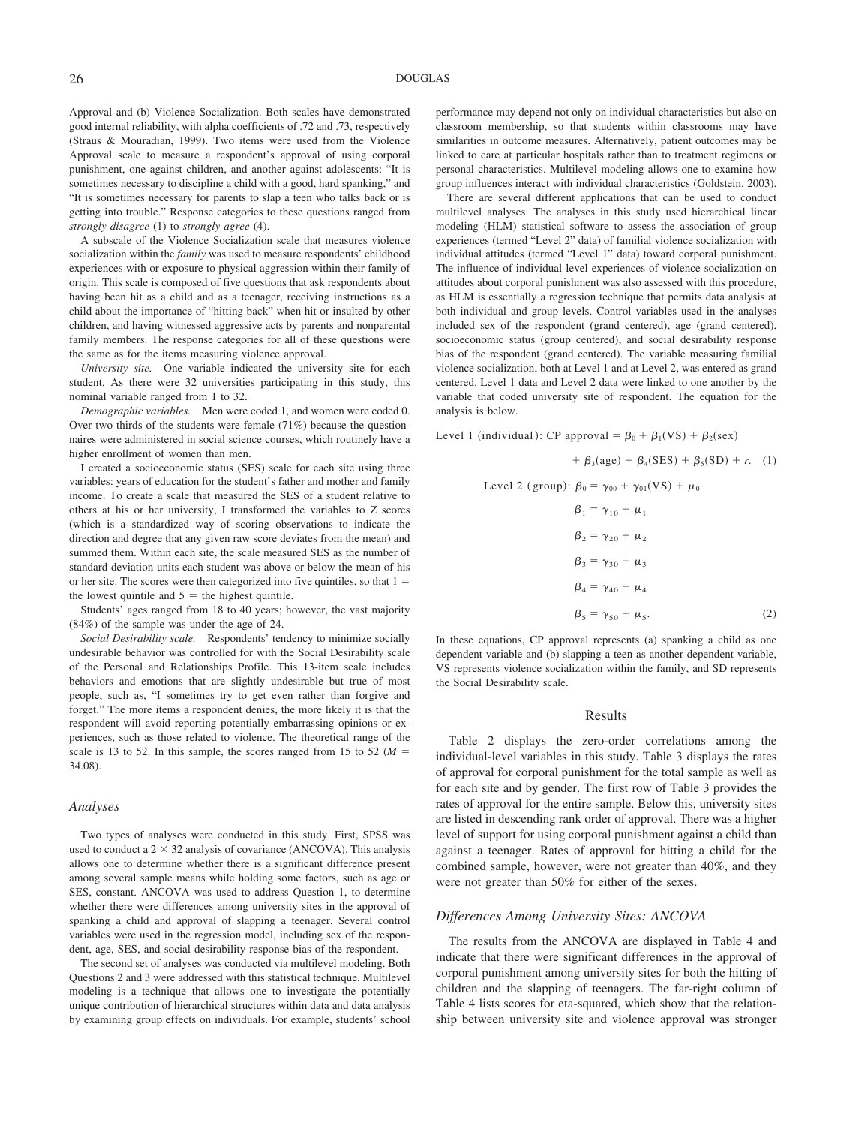Approval and (b) Violence Socialization. Both scales have demonstrated good internal reliability, with alpha coefficients of .72 and .73, respectively (Straus & Mouradian, 1999). Two items were used from the Violence Approval scale to measure a respondent's approval of using corporal punishment, one against children, and another against adolescents: "It is sometimes necessary to discipline a child with a good, hard spanking," and "It is sometimes necessary for parents to slap a teen who talks back or is getting into trouble." Response categories to these questions ranged from *strongly disagree* (1) to *strongly agree* (4).

A subscale of the Violence Socialization scale that measures violence socialization within the *family* was used to measure respondents' childhood experiences with or exposure to physical aggression within their family of origin. This scale is composed of five questions that ask respondents about having been hit as a child and as a teenager, receiving instructions as a child about the importance of "hitting back" when hit or insulted by other children, and having witnessed aggressive acts by parents and nonparental family members. The response categories for all of these questions were the same as for the items measuring violence approval.

*University site.* One variable indicated the university site for each student. As there were 32 universities participating in this study, this nominal variable ranged from 1 to 32.

*Demographic variables.* Men were coded 1, and women were coded 0. Over two thirds of the students were female (71%) because the questionnaires were administered in social science courses, which routinely have a higher enrollment of women than men.

I created a socioeconomic status (SES) scale for each site using three variables: years of education for the student's father and mother and family income. To create a scale that measured the SES of a student relative to others at his or her university, I transformed the variables to *Z* scores (which is a standardized way of scoring observations to indicate the direction and degree that any given raw score deviates from the mean) and summed them. Within each site, the scale measured SES as the number of standard deviation units each student was above or below the mean of his or her site. The scores were then categorized into five quintiles, so that  $1 =$ the lowest quintile and  $5 =$  the highest quintile.

Students' ages ranged from 18 to 40 years; however, the vast majority (84%) of the sample was under the age of 24.

*Social Desirability scale.* Respondents' tendency to minimize socially undesirable behavior was controlled for with the Social Desirability scale of the Personal and Relationships Profile. This 13-item scale includes behaviors and emotions that are slightly undesirable but true of most people, such as, "I sometimes try to get even rather than forgive and forget." The more items a respondent denies, the more likely it is that the respondent will avoid reporting potentially embarrassing opinions or experiences, such as those related to violence. The theoretical range of the scale is 13 to 52. In this sample, the scores ranged from 15 to 52 ( $M =$ 34.08).

#### *Analyses*

Two types of analyses were conducted in this study. First, SPSS was used to conduct a  $2 \times 32$  analysis of covariance (ANCOVA). This analysis allows one to determine whether there is a significant difference present among several sample means while holding some factors, such as age or SES, constant. ANCOVA was used to address Question 1, to determine whether there were differences among university sites in the approval of spanking a child and approval of slapping a teenager. Several control variables were used in the regression model, including sex of the respondent, age, SES, and social desirability response bias of the respondent.

The second set of analyses was conducted via multilevel modeling. Both Questions 2 and 3 were addressed with this statistical technique. Multilevel modeling is a technique that allows one to investigate the potentially unique contribution of hierarchical structures within data and data analysis by examining group effects on individuals. For example, students' school performance may depend not only on individual characteristics but also on classroom membership, so that students within classrooms may have similarities in outcome measures. Alternatively, patient outcomes may be linked to care at particular hospitals rather than to treatment regimens or personal characteristics. Multilevel modeling allows one to examine how group influences interact with individual characteristics (Goldstein, 2003).

There are several different applications that can be used to conduct multilevel analyses. The analyses in this study used hierarchical linear modeling (HLM) statistical software to assess the association of group experiences (termed "Level 2" data) of familial violence socialization with individual attitudes (termed "Level 1" data) toward corporal punishment. The influence of individual-level experiences of violence socialization on attitudes about corporal punishment was also assessed with this procedure, as HLM is essentially a regression technique that permits data analysis at both individual and group levels. Control variables used in the analyses included sex of the respondent (grand centered), age (grand centered), socioeconomic status (group centered), and social desirability response bias of the respondent (grand centered). The variable measuring familial violence socialization, both at Level 1 and at Level 2, was entered as grand centered. Level 1 data and Level 2 data were linked to one another by the variable that coded university site of respondent. The equation for the analysis is below.

Level 1 (individual): CP approval =  $\beta_0 + \beta_1(VS) + \beta_2(sex)$  $+ \beta_3(age) + \beta_4(SES) + \beta_5(SD) + r.$  (1) Level 2 (group):  $\beta_0 = \gamma_{00} + \gamma_{01}(\text{VS}) + \mu_0$  $\beta_1 = \gamma_{10} + \mu_1$  $\beta_2 = \gamma_{20} + \mu_2$  $\beta_3 = \gamma_{30} + \mu_3$  $\beta_4 = \gamma_{40} + \mu_4$ 

 $\beta_5 = \gamma_{50} + \mu_5.$  (2)

In these equations, CP approval represents (a) spanking a child as one dependent variable and (b) slapping a teen as another dependent variable, VS represents violence socialization within the family, and SD represents the Social Desirability scale.

#### Results

Table 2 displays the zero-order correlations among the individual-level variables in this study. Table 3 displays the rates of approval for corporal punishment for the total sample as well as for each site and by gender. The first row of Table 3 provides the rates of approval for the entire sample. Below this, university sites are listed in descending rank order of approval. There was a higher level of support for using corporal punishment against a child than against a teenager. Rates of approval for hitting a child for the combined sample, however, were not greater than 40%, and they were not greater than 50% for either of the sexes.

#### *Differences Among University Sites: ANCOVA*

The results from the ANCOVA are displayed in Table 4 and indicate that there were significant differences in the approval of corporal punishment among university sites for both the hitting of children and the slapping of teenagers. The far-right column of Table 4 lists scores for eta-squared, which show that the relationship between university site and violence approval was stronger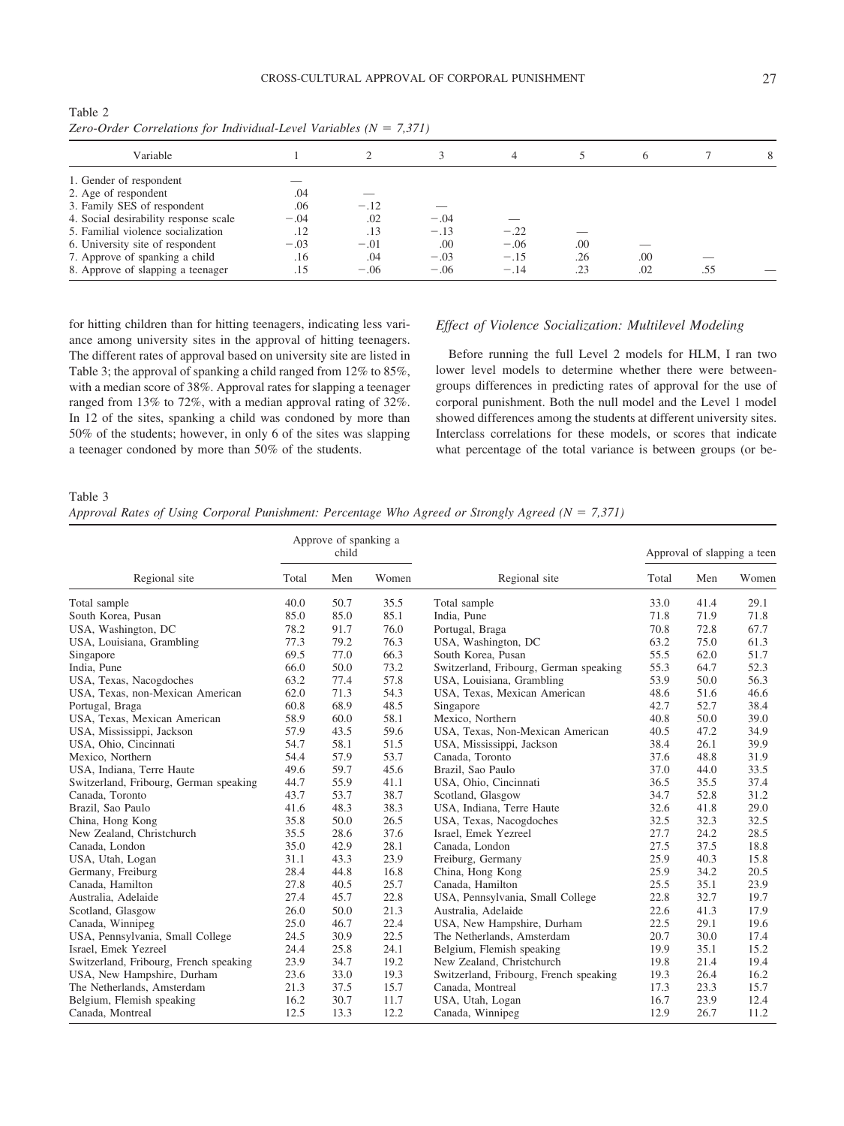CROSS-CULTURAL APPROVAL OF CORPORAL PUNISHMENT 27

| Zero-Order Correlations for Individual-Level Variables ( $N = 7,371$ ) |        |        |        |        |     |     |     |  |
|------------------------------------------------------------------------|--------|--------|--------|--------|-----|-----|-----|--|
| Variable                                                               |        |        |        |        |     | 6   |     |  |
| 1. Gender of respondent                                                |        |        |        |        |     |     |     |  |
| 2. Age of respondent                                                   | .04    |        |        |        |     |     |     |  |
| 3. Family SES of respondent                                            | .06    | $-.12$ |        |        |     |     |     |  |
| 4. Social desirability response scale                                  | $-.04$ | .02    | $-.04$ |        |     |     |     |  |
| 5. Familial violence socialization                                     | .12    | .13    | $-.13$ | $-.22$ |     |     |     |  |
| 6. University site of respondent                                       | $-.03$ | $-.01$ | .00    | $-.06$ | .00 |     |     |  |
| 7. Approve of spanking a child                                         | .16    | .04    | $-.03$ | $-.15$ | .26 | .00 |     |  |
| 8. Approve of slapping a teenager                                      | .15    | $-.06$ | $-.06$ | $-.14$ | .23 | .02 | .55 |  |

Table 2

8. Approve of slapping a teenager  $.15 -06 -06 -14$ 

for hitting children than for hitting teenagers, indicating less variance among university sites in the approval of hitting teenagers. The different rates of approval based on university site are listed in Table 3; the approval of spanking a child ranged from 12% to 85%, with a median score of 38%. Approval rates for slapping a teenager ranged from 13% to 72%, with a median approval rating of 32%. In 12 of the sites, spanking a child was condoned by more than 50% of the students; however, in only 6 of the sites was slapping a teenager condoned by more than 50% of the students.

# *Effect of Violence Socialization: Multilevel Modeling*

Before running the full Level 2 models for HLM, I ran two lower level models to determine whether there were betweengroups differences in predicting rates of approval for the use of corporal punishment. Both the null model and the Level 1 model showed differences among the students at different university sites. Interclass correlations for these models, or scores that indicate what percentage of the total variance is between groups (or be-

#### Table 3

|  |  | Approval Rates of Using Corporal Punishment: Percentage Who Agreed or Strongly Agreed ( $N = 7,371$ ) |  |  |
|--|--|-------------------------------------------------------------------------------------------------------|--|--|
|--|--|-------------------------------------------------------------------------------------------------------|--|--|

|                                        |       | Approve of spanking a<br>child |      |                                        | Approval of slapping a teen |      |       |
|----------------------------------------|-------|--------------------------------|------|----------------------------------------|-----------------------------|------|-------|
| Regional site                          | Total | Women<br>Men                   |      | Regional site                          | Total                       | Men  | Women |
| Total sample                           | 40.0  | 50.7                           | 35.5 | Total sample                           | 33.0                        | 41.4 | 29.1  |
| South Korea, Pusan                     | 85.0  | 85.0                           | 85.1 | India, Pune                            | 71.8                        | 71.9 | 71.8  |
| USA, Washington, DC                    | 78.2  | 91.7                           | 76.0 | Portugal, Braga                        | 70.8                        | 72.8 | 67.7  |
| USA, Louisiana, Grambling              | 77.3  | 79.2                           | 76.3 | USA, Washington, DC                    | 63.2                        | 75.0 | 61.3  |
| Singapore                              | 69.5  | 77.0                           | 66.3 | South Korea, Pusan                     | 55.5                        | 62.0 | 51.7  |
| India, Pune                            | 66.0  | 50.0                           | 73.2 | Switzerland, Fribourg, German speaking | 55.3                        | 64.7 | 52.3  |
| USA, Texas, Nacogdoches                | 63.2  | 77.4                           | 57.8 | USA, Louisiana, Grambling              | 53.9                        | 50.0 | 56.3  |
| USA, Texas, non-Mexican American       | 62.0  | 71.3                           | 54.3 | USA, Texas, Mexican American           | 48.6                        | 51.6 | 46.6  |
| Portugal, Braga                        | 60.8  | 68.9                           | 48.5 | Singapore                              | 42.7                        | 52.7 | 38.4  |
| USA, Texas, Mexican American           | 58.9  | 60.0                           | 58.1 | Mexico, Northern                       | 40.8                        | 50.0 | 39.0  |
| USA, Mississippi, Jackson              | 57.9  | 43.5                           | 59.6 | USA, Texas, Non-Mexican American       | 40.5                        | 47.2 | 34.9  |
| USA, Ohio, Cincinnati                  | 54.7  | 58.1                           | 51.5 | USA, Mississippi, Jackson              | 38.4                        | 26.1 | 39.9  |
| Mexico, Northern                       | 54.4  | 57.9                           | 53.7 | Canada, Toronto                        | 37.6                        | 48.8 | 31.9  |
| USA, Indiana, Terre Haute              | 49.6  | 59.7                           | 45.6 | Brazil, Sao Paulo                      | 37.0                        | 44.0 | 33.5  |
| Switzerland, Fribourg, German speaking | 44.7  | 55.9                           | 41.1 | USA, Ohio, Cincinnati                  | 36.5                        | 35.5 | 37.4  |
| Canada, Toronto                        | 43.7  | 53.7                           | 38.7 | Scotland, Glasgow                      | 34.7                        | 52.8 | 31.2  |
| Brazil, Sao Paulo                      | 41.6  | 48.3                           | 38.3 | USA, Indiana, Terre Haute              | 32.6                        | 41.8 | 29.0  |
| China, Hong Kong                       | 35.8  | 50.0                           | 26.5 | USA, Texas, Nacogdoches                | 32.5                        | 32.3 | 32.5  |
| New Zealand, Christchurch              | 35.5  | 28.6                           | 37.6 | Israel, Emek Yezreel                   | 27.7                        | 24.2 | 28.5  |
| Canada, London                         | 35.0  | 42.9                           | 28.1 | Canada, London                         | 27.5                        | 37.5 | 18.8  |
| USA, Utah, Logan                       | 31.1  | 43.3                           | 23.9 | Freiburg, Germany                      | 25.9                        | 40.3 | 15.8  |
| Germany, Freiburg                      | 28.4  | 44.8                           | 16.8 | China, Hong Kong                       | 25.9                        | 34.2 | 20.5  |
| Canada, Hamilton                       | 27.8  | 40.5                           | 25.7 | Canada, Hamilton                       | 25.5                        | 35.1 | 23.9  |
| Australia, Adelaide                    | 27.4  | 45.7                           | 22.8 | USA, Pennsylvania, Small College       | 22.8                        | 32.7 | 19.7  |
| Scotland, Glasgow                      | 26.0  | 50.0                           | 21.3 | Australia, Adelaide                    | 22.6                        | 41.3 | 17.9  |
| Canada, Winnipeg                       | 25.0  | 46.7                           | 22.4 | USA, New Hampshire, Durham             | 22.5                        | 29.1 | 19.6  |
| USA, Pennsylvania, Small College       | 24.5  | 30.9                           | 22.5 | The Netherlands, Amsterdam             | 20.7                        | 30.0 | 17.4  |
| Israel, Emek Yezreel                   | 24.4  | 25.8                           | 24.1 | Belgium, Flemish speaking              | 19.9                        | 35.1 | 15.2  |
| Switzerland, Fribourg, French speaking | 23.9  | 34.7                           | 19.2 | New Zealand, Christchurch              | 19.8                        | 21.4 | 19.4  |
| USA, New Hampshire, Durham             | 23.6  | 33.0                           | 19.3 | Switzerland, Fribourg, French speaking | 19.3                        | 26.4 | 16.2  |
| The Netherlands, Amsterdam             | 21.3  | 37.5                           | 15.7 | Canada, Montreal                       | 17.3                        | 23.3 | 15.7  |
| Belgium, Flemish speaking              | 16.2  | 30.7                           | 11.7 | USA, Utah, Logan                       | 16.7                        | 23.9 | 12.4  |
| Canada, Montreal                       | 12.5  | 13.3                           | 12.2 | Canada, Winnipeg                       | 12.9                        | 26.7 | 11.2  |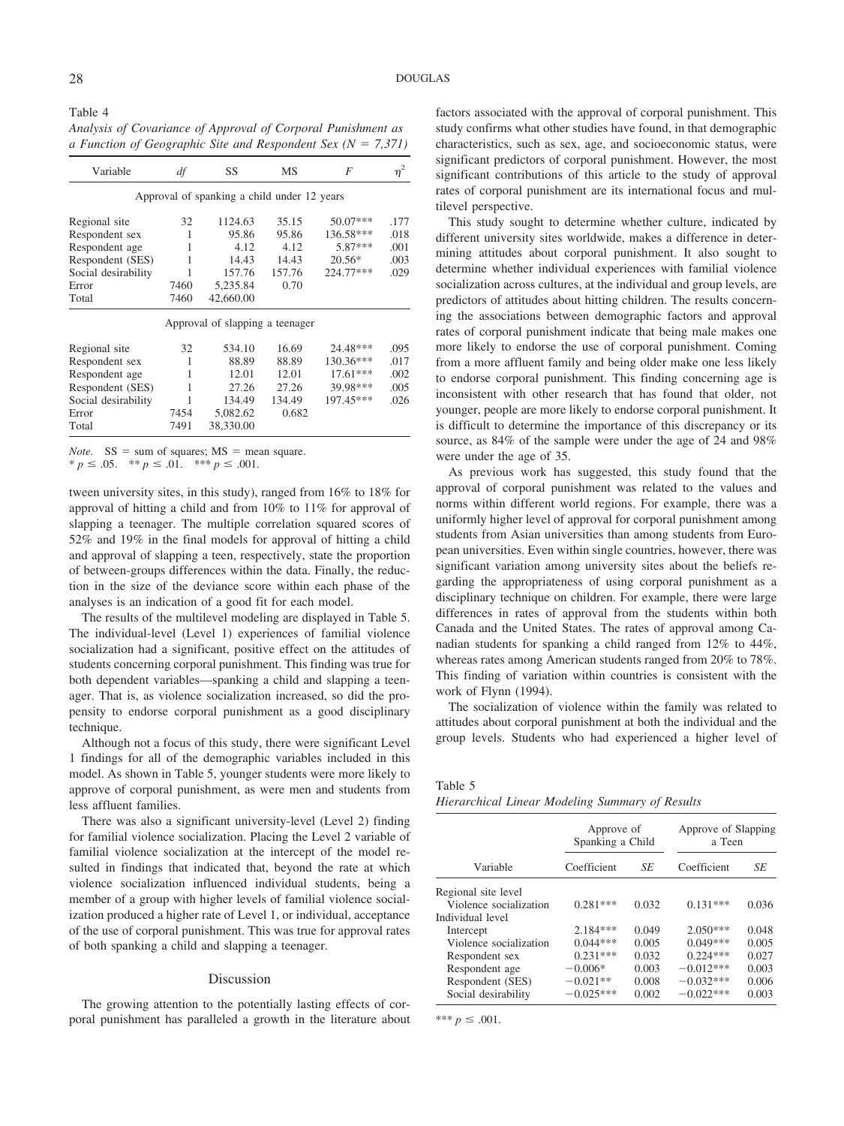Table 4 *Analysis of Covariance of Approval of Corporal Punishment as a Function of Geographic Site and Respondent Sex (N 7,371)*

| Variable            | df   | SS                                          | MS     | F         | $\eta^2$ |
|---------------------|------|---------------------------------------------|--------|-----------|----------|
|                     |      | Approval of spanking a child under 12 years |        |           |          |
| Regional site       | 32   | 1124.63                                     | 35.15  | 50.07***  | .177     |
| Respondent sex      | 1    | 95.86                                       | 95.86  | 136.58*** | .018     |
| Respondent age      | 1    | 4.12                                        | 4.12   | 5.87***   | .001     |
| Respondent (SES)    | 1    | 14.43                                       | 14.43  | $20.56*$  | .003     |
| Social desirability | 1    | 157.76                                      | 157.76 | 224.77*** | .029     |
| Error               | 7460 | 5.235.84                                    | 0.70   |           |          |
| Total               | 7460 | 42,660.00                                   |        |           |          |
|                     |      | Approval of slapping a teenager             |        |           |          |
| Regional site       | 32   | 534.10                                      | 16.69  | 24.48***  | .095     |
| Respondent sex      | 1    | 88.89                                       | 88.89  | 130.36*** | .017     |
| Respondent age      | 1    | 12.01                                       | 12.01  | 17.61***  | .002     |
| Respondent (SES)    | 1    | 27.26                                       | 27.26  | 39.98***  | .005     |
| Social desirability | 1    | 134.49                                      | 134.49 | 197.45*** | .026     |
| Error               | 7454 | 5,082.62                                    | 0.682  |           |          |
| Total               | 7491 | 38,330.00                                   |        |           |          |

*Note.*  $SS = sum of squares; MS = mean square.$  $p \leq 0.05$ .  $\ast p \leq 0.01$ .  $\ast \ast p \leq 0.001$ .

tween university sites, in this study), ranged from 16% to 18% for approval of hitting a child and from 10% to 11% for approval of slapping a teenager. The multiple correlation squared scores of 52% and 19% in the final models for approval of hitting a child and approval of slapping a teen, respectively, state the proportion of between-groups differences within the data. Finally, the reduction in the size of the deviance score within each phase of the analyses is an indication of a good fit for each model.

The results of the multilevel modeling are displayed in Table 5. The individual-level (Level 1) experiences of familial violence socialization had a significant, positive effect on the attitudes of students concerning corporal punishment. This finding was true for both dependent variables—spanking a child and slapping a teenager. That is, as violence socialization increased, so did the propensity to endorse corporal punishment as a good disciplinary technique.

Although not a focus of this study, there were significant Level 1 findings for all of the demographic variables included in this model. As shown in Table 5, younger students were more likely to approve of corporal punishment, as were men and students from less affluent families.

There was also a significant university-level (Level 2) finding for familial violence socialization. Placing the Level 2 variable of familial violence socialization at the intercept of the model resulted in findings that indicated that, beyond the rate at which violence socialization influenced individual students, being a member of a group with higher levels of familial violence socialization produced a higher rate of Level 1, or individual, acceptance of the use of corporal punishment. This was true for approval rates of both spanking a child and slapping a teenager.

#### Discussion

The growing attention to the potentially lasting effects of corporal punishment has paralleled a growth in the literature about factors associated with the approval of corporal punishment. This study confirms what other studies have found, in that demographic characteristics, such as sex, age, and socioeconomic status, were significant predictors of corporal punishment. However, the most significant contributions of this article to the study of approval rates of corporal punishment are its international focus and multilevel perspective.

This study sought to determine whether culture, indicated by different university sites worldwide, makes a difference in determining attitudes about corporal punishment. It also sought to determine whether individual experiences with familial violence socialization across cultures, at the individual and group levels, are predictors of attitudes about hitting children. The results concerning the associations between demographic factors and approval rates of corporal punishment indicate that being male makes one more likely to endorse the use of corporal punishment. Coming from a more affluent family and being older make one less likely to endorse corporal punishment. This finding concerning age is inconsistent with other research that has found that older, not younger, people are more likely to endorse corporal punishment. It is difficult to determine the importance of this discrepancy or its source, as 84% of the sample were under the age of 24 and 98% were under the age of 35.

As previous work has suggested, this study found that the approval of corporal punishment was related to the values and norms within different world regions. For example, there was a uniformly higher level of approval for corporal punishment among students from Asian universities than among students from European universities. Even within single countries, however, there was significant variation among university sites about the beliefs regarding the appropriateness of using corporal punishment as a disciplinary technique on children. For example, there were large differences in rates of approval from the students within both Canada and the United States. The rates of approval among Canadian students for spanking a child ranged from 12% to 44%, whereas rates among American students ranged from 20% to 78%. This finding of variation within countries is consistent with the work of Flynn (1994).

The socialization of violence within the family was related to attitudes about corporal punishment at both the individual and the group levels. Students who had experienced a higher level of

Table 5

| Hierarchical Linear Modeling Summary of Results |  |  |  |  |
|-------------------------------------------------|--|--|--|--|
|-------------------------------------------------|--|--|--|--|

|                        | Approve of<br>Spanking a Child |       | Approve of Slapping<br>a Teen |       |  |
|------------------------|--------------------------------|-------|-------------------------------|-------|--|
| Variable               | Coefficient                    | SE    | Coefficient                   | SЕ    |  |
| Regional site level    |                                |       |                               |       |  |
| Violence socialization | $0.281***$                     | 0.032 | $0.131***$                    | 0.036 |  |
| Individual level       |                                |       |                               |       |  |
| Intercept              | $2.184***$                     | 0.049 | $2.050***$                    | 0.048 |  |
| Violence socialization | $0.044***$                     | 0.005 | $0.049***$                    | 0.005 |  |
| Respondent sex         | $0.231***$                     | 0.032 | $0.224***$                    | 0.027 |  |
| Respondent age         | $-0.006*$                      | 0.003 | $-0.012***$                   | 0.003 |  |
| Respondent (SES)       | $-0.021**$                     | 0.008 | $-0.032***$                   | 0.006 |  |
| Social desirability    | $-0.025***$                    | 0.002 | $-0.022***$                   | 0.003 |  |

\*\*\*  $p \le .001$ .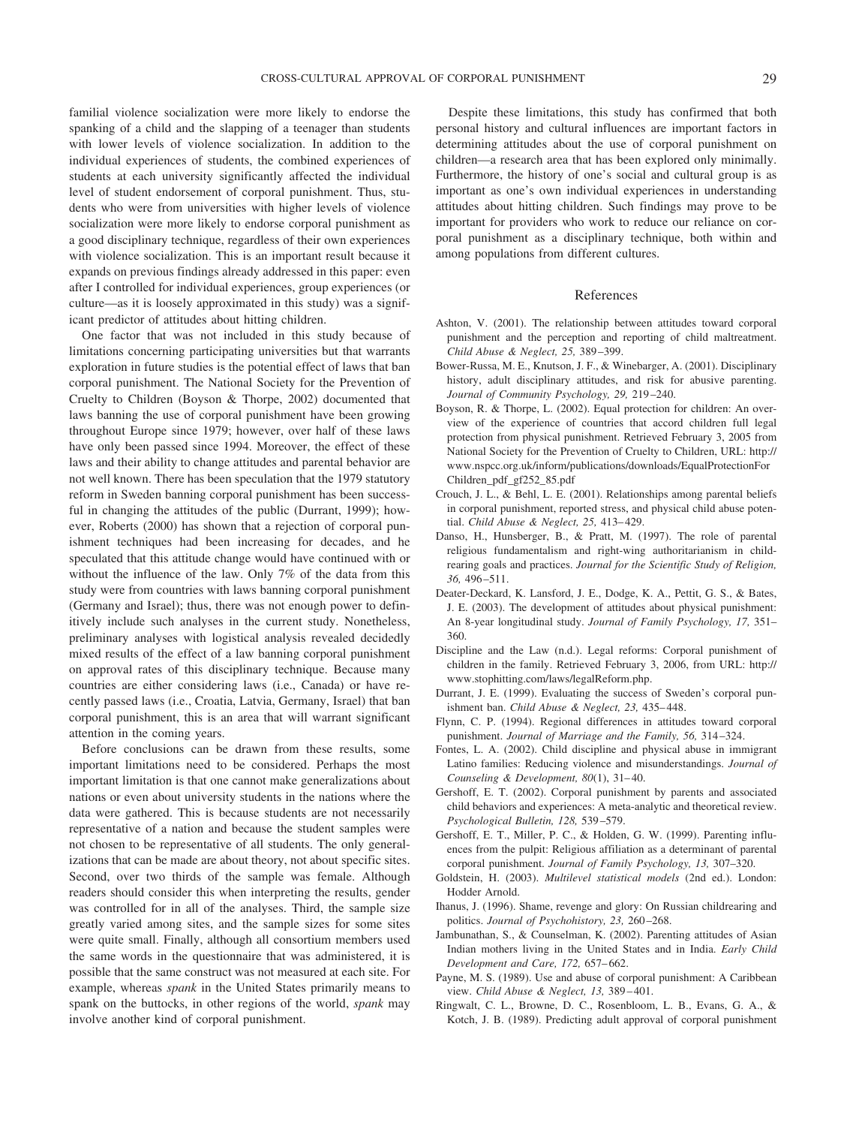familial violence socialization were more likely to endorse the spanking of a child and the slapping of a teenager than students with lower levels of violence socialization. In addition to the individual experiences of students, the combined experiences of students at each university significantly affected the individual level of student endorsement of corporal punishment. Thus, students who were from universities with higher levels of violence socialization were more likely to endorse corporal punishment as a good disciplinary technique, regardless of their own experiences with violence socialization. This is an important result because it expands on previous findings already addressed in this paper: even after I controlled for individual experiences, group experiences (or culture—as it is loosely approximated in this study) was a significant predictor of attitudes about hitting children.

One factor that was not included in this study because of limitations concerning participating universities but that warrants exploration in future studies is the potential effect of laws that ban corporal punishment. The National Society for the Prevention of Cruelty to Children (Boyson & Thorpe, 2002) documented that laws banning the use of corporal punishment have been growing throughout Europe since 1979; however, over half of these laws have only been passed since 1994. Moreover, the effect of these laws and their ability to change attitudes and parental behavior are not well known. There has been speculation that the 1979 statutory reform in Sweden banning corporal punishment has been successful in changing the attitudes of the public (Durrant, 1999); however, Roberts (2000) has shown that a rejection of corporal punishment techniques had been increasing for decades, and he speculated that this attitude change would have continued with or without the influence of the law. Only 7% of the data from this study were from countries with laws banning corporal punishment (Germany and Israel); thus, there was not enough power to definitively include such analyses in the current study. Nonetheless, preliminary analyses with logistical analysis revealed decidedly mixed results of the effect of a law banning corporal punishment on approval rates of this disciplinary technique. Because many countries are either considering laws (i.e., Canada) or have recently passed laws (i.e., Croatia, Latvia, Germany, Israel) that ban corporal punishment, this is an area that will warrant significant attention in the coming years.

Before conclusions can be drawn from these results, some important limitations need to be considered. Perhaps the most important limitation is that one cannot make generalizations about nations or even about university students in the nations where the data were gathered. This is because students are not necessarily representative of a nation and because the student samples were not chosen to be representative of all students. The only generalizations that can be made are about theory, not about specific sites. Second, over two thirds of the sample was female. Although readers should consider this when interpreting the results, gender was controlled for in all of the analyses. Third, the sample size greatly varied among sites, and the sample sizes for some sites were quite small. Finally, although all consortium members used the same words in the questionnaire that was administered, it is possible that the same construct was not measured at each site. For example, whereas *spank* in the United States primarily means to spank on the buttocks, in other regions of the world, *spank* may involve another kind of corporal punishment.

Despite these limitations, this study has confirmed that both personal history and cultural influences are important factors in determining attitudes about the use of corporal punishment on children—a research area that has been explored only minimally. Furthermore, the history of one's social and cultural group is as important as one's own individual experiences in understanding attitudes about hitting children. Such findings may prove to be important for providers who work to reduce our reliance on corporal punishment as a disciplinary technique, both within and among populations from different cultures.

#### References

- Ashton, V. (2001). The relationship between attitudes toward corporal punishment and the perception and reporting of child maltreatment. *Child Abuse & Neglect, 25,* 389 –399.
- Bower-Russa, M. E., Knutson, J. F., & Winebarger, A. (2001). Disciplinary history, adult disciplinary attitudes, and risk for abusive parenting. *Journal of Community Psychology, 29,* 219 –240.
- Boyson, R. & Thorpe, L. (2002). Equal protection for children: An overview of the experience of countries that accord children full legal protection from physical punishment. Retrieved February 3, 2005 from National Society for the Prevention of Cruelty to Children, URL: http:// www.nspcc.org.uk/inform/publications/downloads/EqualProtectionFor Children\_pdf\_gf252\_85.pdf
- Crouch, J. L., & Behl, L. E. (2001). Relationships among parental beliefs in corporal punishment, reported stress, and physical child abuse potential. *Child Abuse & Neglect, 25,* 413– 429.
- Danso, H., Hunsberger, B., & Pratt, M. (1997). The role of parental religious fundamentalism and right-wing authoritarianism in childrearing goals and practices. *Journal for the Scientific Study of Religion, 36,* 496 –511.
- Deater-Deckard, K. Lansford, J. E., Dodge, K. A., Pettit, G. S., & Bates, J. E. (2003). The development of attitudes about physical punishment: An 8-year longitudinal study. *Journal of Family Psychology, 17,* 351– 360.
- Discipline and the Law (n.d.). Legal reforms: Corporal punishment of children in the family. Retrieved February 3, 2006, from URL: http:// www.stophitting.com/laws/legalReform.php.
- Durrant, J. E. (1999). Evaluating the success of Sweden's corporal punishment ban. *Child Abuse & Neglect, 23,* 435– 448.
- Flynn, C. P. (1994). Regional differences in attitudes toward corporal punishment. *Journal of Marriage and the Family, 56,* 314 –324.
- Fontes, L. A. (2002). Child discipline and physical abuse in immigrant Latino families: Reducing violence and misunderstandings. *Journal of Counseling & Development, 80(1), 31-40.*
- Gershoff, E. T. (2002). Corporal punishment by parents and associated child behaviors and experiences: A meta-analytic and theoretical review. *Psychological Bulletin, 128,* 539 –579.
- Gershoff, E. T., Miller, P. C., & Holden, G. W. (1999). Parenting influences from the pulpit: Religious affiliation as a determinant of parental corporal punishment. *Journal of Family Psychology, 13,* 307–320.
- Goldstein, H. (2003). *Multilevel statistical models* (2nd ed.). London: Hodder Arnold.
- Ihanus, J. (1996). Shame, revenge and glory: On Russian childrearing and politics. *Journal of Psychohistory, 23,* 260 –268.
- Jambunathan, S., & Counselman, K. (2002). Parenting attitudes of Asian Indian mothers living in the United States and in India. *Early Child Development and Care, 172,* 657– 662.
- Payne, M. S. (1989). Use and abuse of corporal punishment: A Caribbean view. *Child Abuse & Neglect, 13,* 389 – 401.
- Ringwalt, C. L., Browne, D. C., Rosenbloom, L. B., Evans, G. A., & Kotch, J. B. (1989). Predicting adult approval of corporal punishment